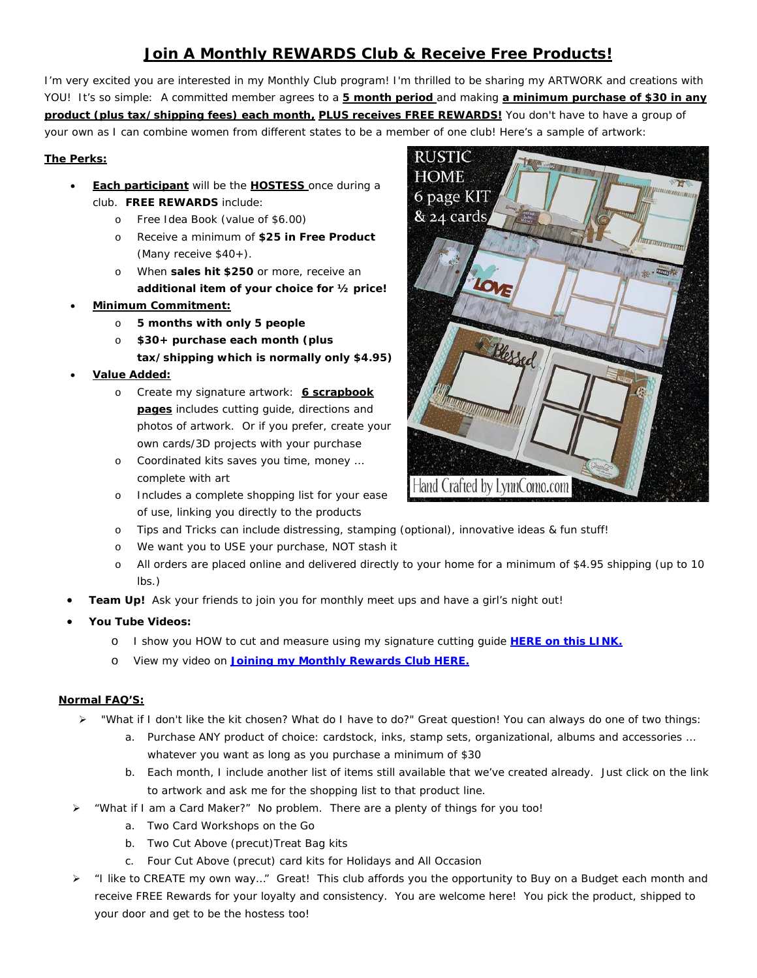## **Join A Monthly REWARDS Club & Receive Free Products!**

I'm very excited you are interested in my Monthly Club program! I'm thrilled to be sharing my ARTWORK and creations with YOU! It's so simple: A committed member agrees to a **5 month period** and making **a minimum purchase of \$30 in any product (plus tax/shipping fees) each month, PLUS receives FREE REWARDS!** You don't have to have a group of your own as I can combine women from different states to be a member of one club! Here's a sample of artwork:

## **The Perks:**

- **Each participant** will be the **HOSTESS** once during a club. **FREE REWARDS** include:
	- o Free Idea Book (value of \$6.00)
	- o Receive a minimum of **\$25 in Free Product** (Many receive \$40+).
	- o When **sales hit \$250** or more, receive an **additional item of your choice for ½ price!**
- **Minimum Commitment:** 
	- o **5 months with only 5 people**
	- o **\$30+ purchase each month (plus tax/shipping which is normally only \$4.95)**
- **Value Added:**
	- o Create my signature artwork: **6 scrapbook pages** includes cutting guide, directions and photos of artwork. Or if you prefer, create your own cards/3D projects with your purchase
	- o Coordinated kits saves you time, money … complete with art
	- o Includes a complete shopping list for your ease of use, linking you directly to the products



- o We want you to USE your purchase, NOT stash it
- o All orders are placed online and delivered directly to your home for a minimum of \$4.95 shipping (up to 10 lbs.)
- **Team Up!** Ask your friends to join you for monthly meet ups and have a girl's night out!
- **You Tube Videos:**
	- o I show you HOW to cut and measure using my signature cutting guide **[HERE on this LINK.](https://youtu.be/ucjhvtylP8c)**
	- o View my video on **[Joining my Monthly Rewards Club HERE.](https://youtu.be/b0eT47jz6SI)**

### **Normal FAQ'S:**

- "What if I don't like the kit chosen? What do I have to do?" Great question! You can always do one of two things:
	- a. Purchase ANY product of choice: cardstock, inks, stamp sets, organizational, albums and accessories … whatever you want as long as you purchase a minimum of \$30
	- b. Each month, I include another list of items still available that we've created already. Just click on the link to artwork and ask me for the shopping list to that product line.
- "What if I am a Card Maker?" No problem. There are a plenty of things for you too!
	- a. Two Card Workshops on the Go
	- b. Two Cut Above (precut)Treat Bag kits
	- c. Four Cut Above (precut) card kits for Holidays and All Occasion
- > "I like to CREATE my own way..." Great! This club affords you the opportunity to Buy on a Budget each month and receive FREE Rewards for your loyalty and consistency. You are welcome here! You pick the product, shipped to your door and get to be the hostess too!